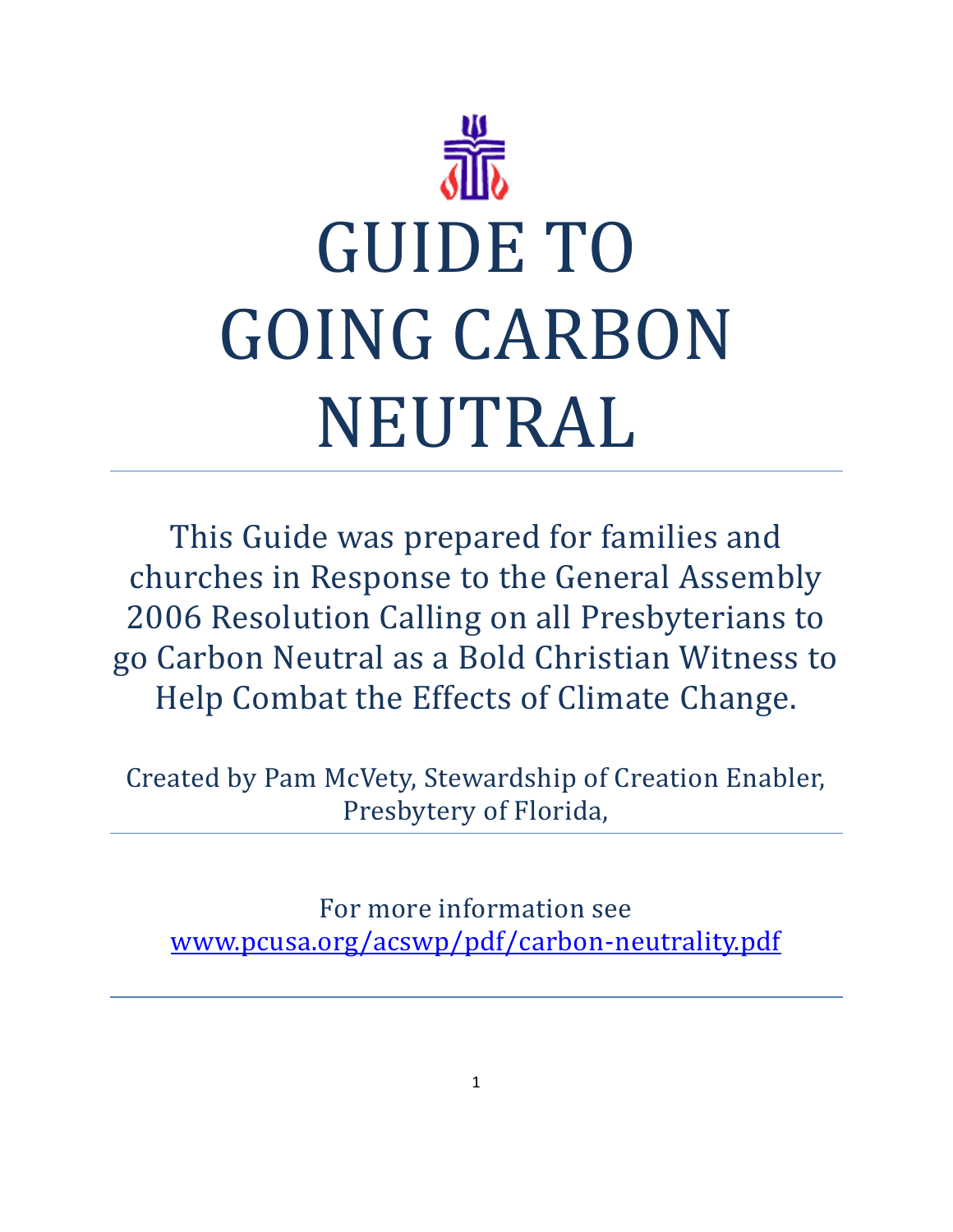

This Guide was prepared for families and churches in Response to the General Assembly 2006 Resolution Calling on all Presbyterians to go Carbon Neutral as a Bold Christian Witness to Help Combat the Effects of Climate Change.

Created by Pam McVety, Stewardship of Creation Enabler, Presbytery of Florida,

For more information see [www.pcusa.org/acswp/pdf/carbon-neutrality.pdf](http://www.pcusa.org/acswp/pdf/carbon-neutrality.pdf)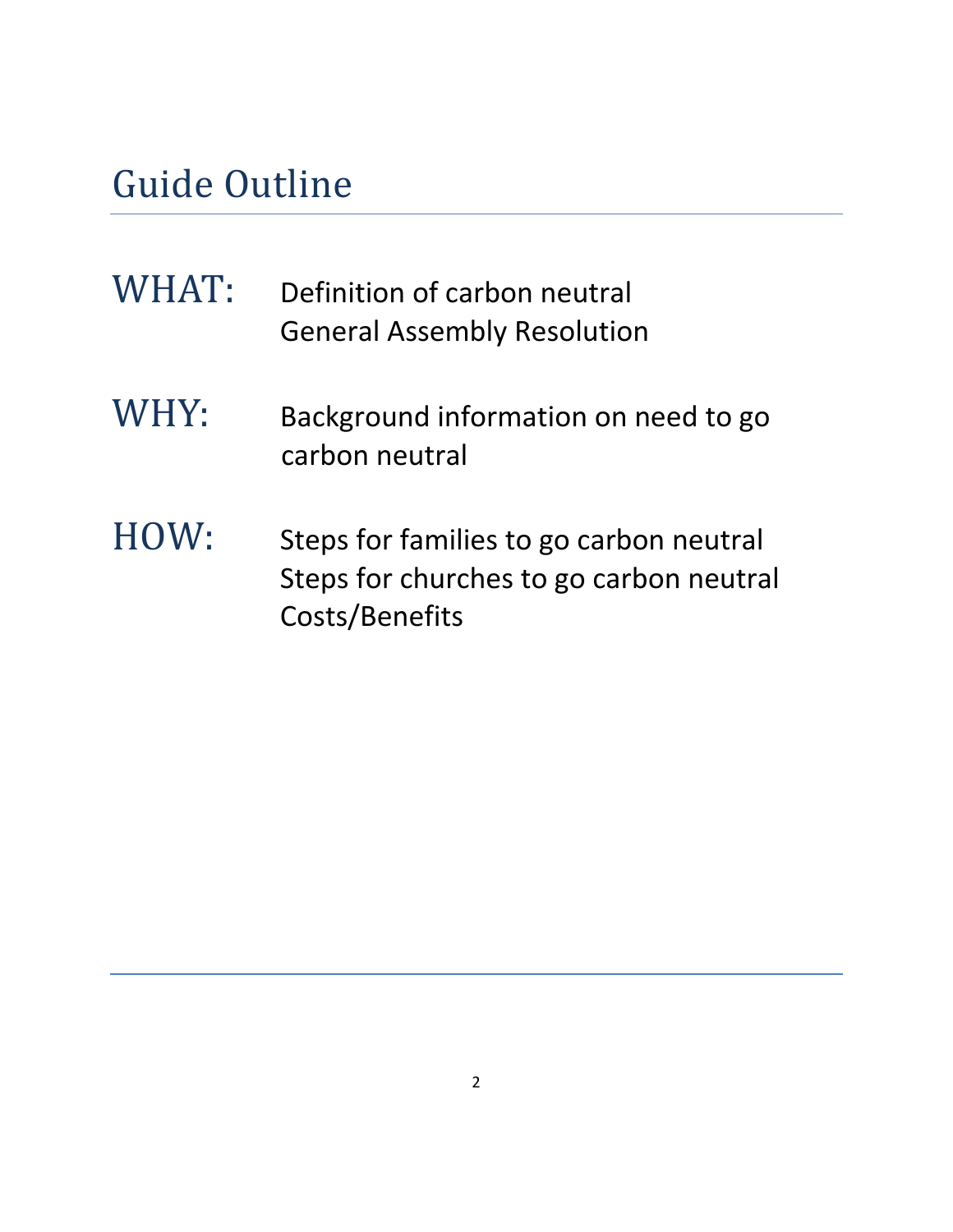# Guide Outline

| WHAT: | Definition of carbon neutral<br><b>General Assembly Resolution</b>                                   |
|-------|------------------------------------------------------------------------------------------------------|
| WHY:  | Background information on need to go<br>carbon neutral                                               |
| HOW:  | Steps for families to go carbon neutral<br>Steps for churches to go carbon neutral<br>Costs/Benefits |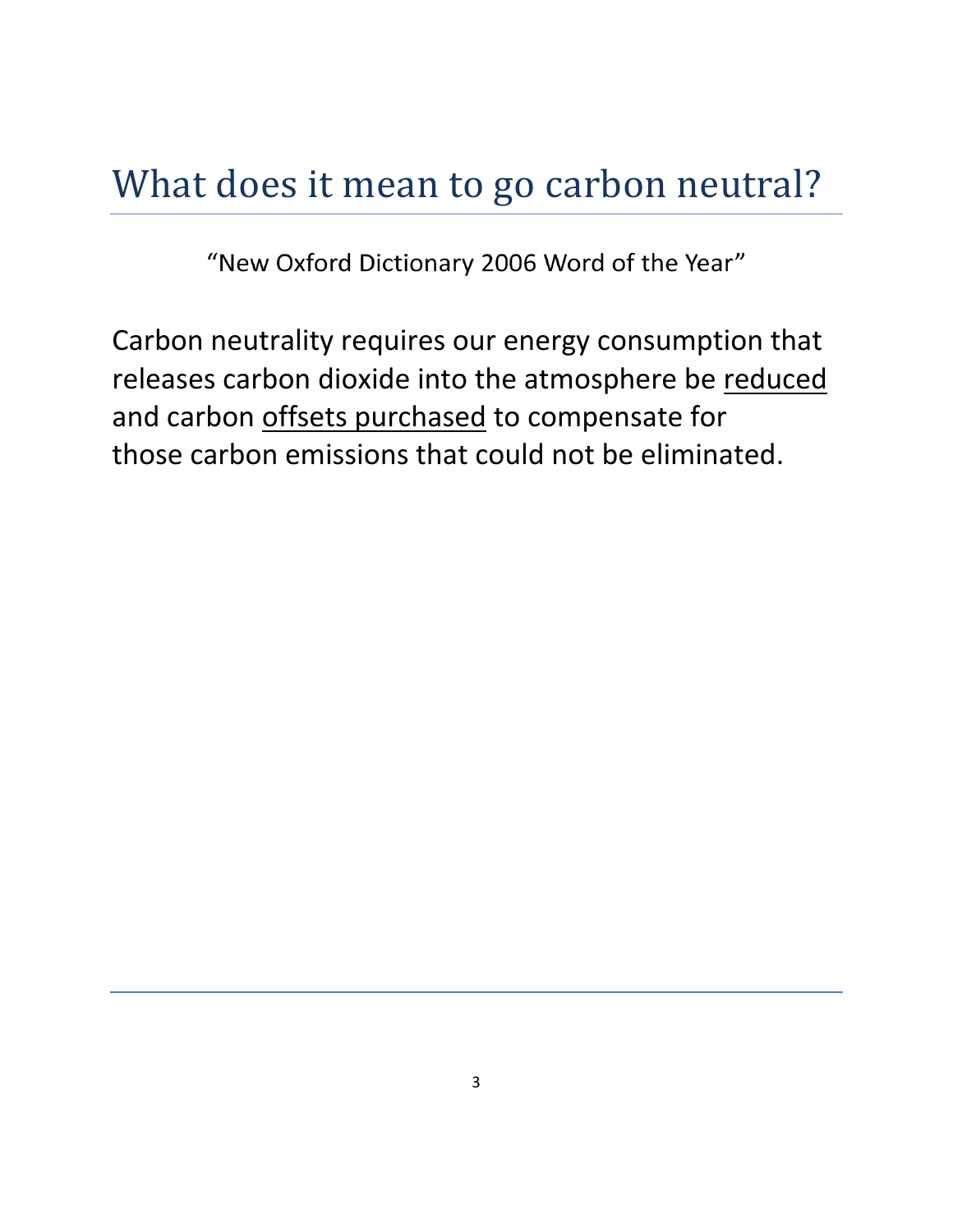## What does it mean to go carbon neutral?

"New Oxford Dictionary 2006 Word of the Year"

Carbon neutrality requires our energy consumption that releases carbon dioxide into the atmosphere be reduced and carbon offsets purchased to compensate for those carbon emissions that could not be eliminated.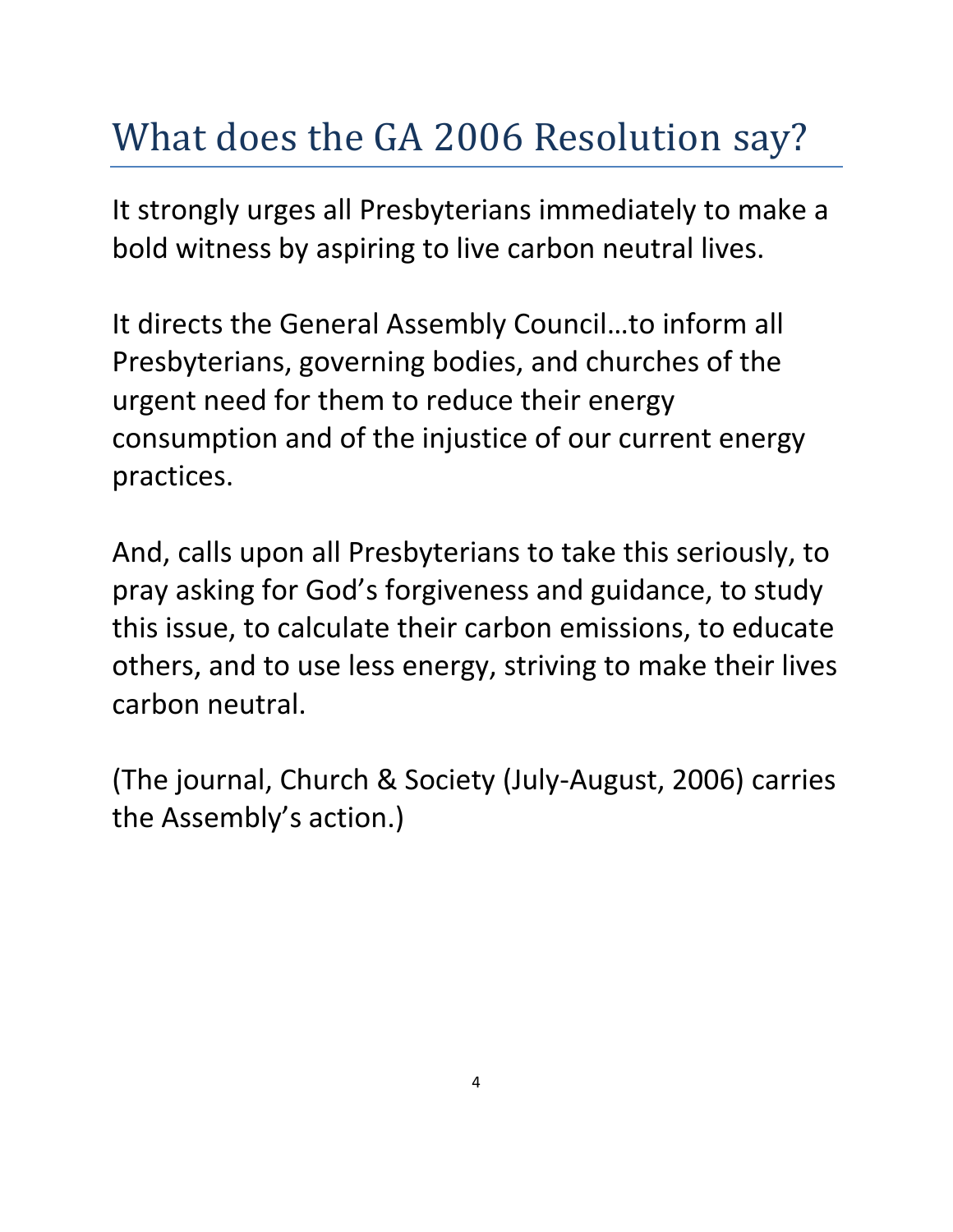# What does the GA 2006 Resolution say?

It strongly urges all Presbyterians immediately to make a bold witness by aspiring to live carbon neutral lives.

It directs the General Assembly Council…to inform all Presbyterians, governing bodies, and churches of the urgent need for them to reduce their energy consumption and of the injustice of our current energy practices.

And, calls upon all Presbyterians to take this seriously, to pray asking for God's forgiveness and guidance, to study this issue, to calculate their carbon emissions, to educate others, and to use less energy, striving to make their lives carbon neutral.

(The journal, Church & Society (July-August, 2006) carries the Assembly's action.)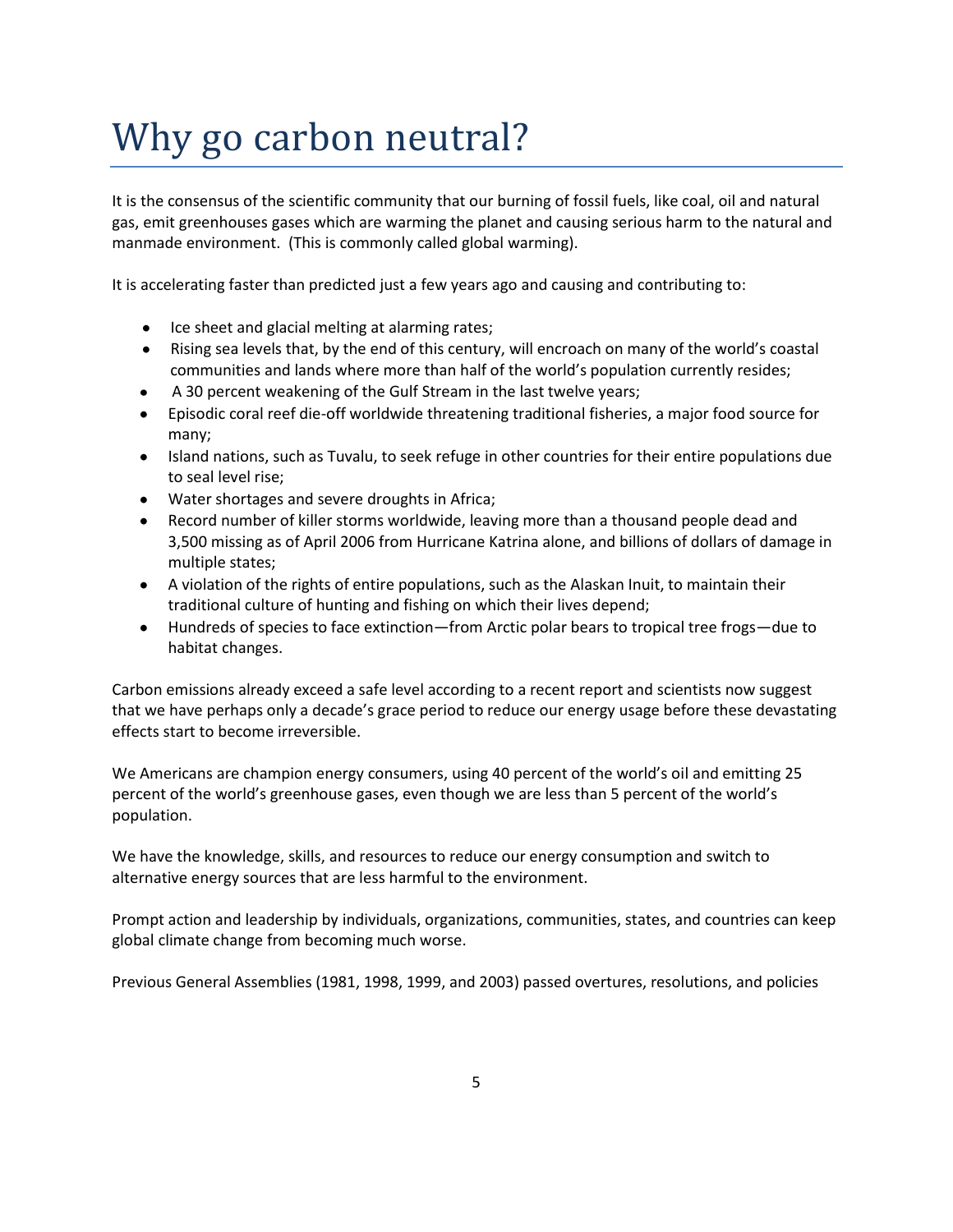# Why go carbon neutral?

It is the consensus of the scientific community that our burning of fossil fuels, like coal, oil and natural gas, emit greenhouses gases which are warming the planet and causing serious harm to the natural and manmade environment. (This is commonly called global warming).

It is accelerating faster than predicted just a few years ago and causing and contributing to:

- Ice sheet and glacial melting at alarming rates;
- Rising sea levels that, by the end of this century, will encroach on many of the world's coastal communities and lands where more than half of the world's population currently resides;
- A 30 percent weakening of the Gulf Stream in the last twelve years;  $\bullet$
- Episodic coral reef die-off worldwide threatening traditional fisheries, a major food source for many;
- Island nations, such as Tuvalu, to seek refuge in other countries for their entire populations due to seal level rise;
- Water shortages and severe droughts in Africa;
- Record number of killer storms worldwide, leaving more than a thousand people dead and 3,500 missing as of April 2006 from Hurricane Katrina alone, and billions of dollars of damage in multiple states;
- A violation of the rights of entire populations, such as the Alaskan Inuit, to maintain their traditional culture of hunting and fishing on which their lives depend;
- Hundreds of species to face extinction—from Arctic polar bears to tropical tree frogs—due to habitat changes.

Carbon emissions already exceed a safe level according to a recent report and scientists now suggest that we have perhaps only a decade's grace period to reduce our energy usage before these devastating effects start to become irreversible.

We Americans are champion energy consumers, using 40 percent of the world's oil and emitting 25 percent of the world's greenhouse gases, even though we are less than 5 percent of the world's population.

We have the knowledge, skills, and resources to reduce our energy consumption and switch to alternative energy sources that are less harmful to the environment.

Prompt action and leadership by individuals, organizations, communities, states, and countries can keep global climate change from becoming much worse.

Previous General Assemblies (1981, 1998, 1999, and 2003) passed overtures, resolutions, and policies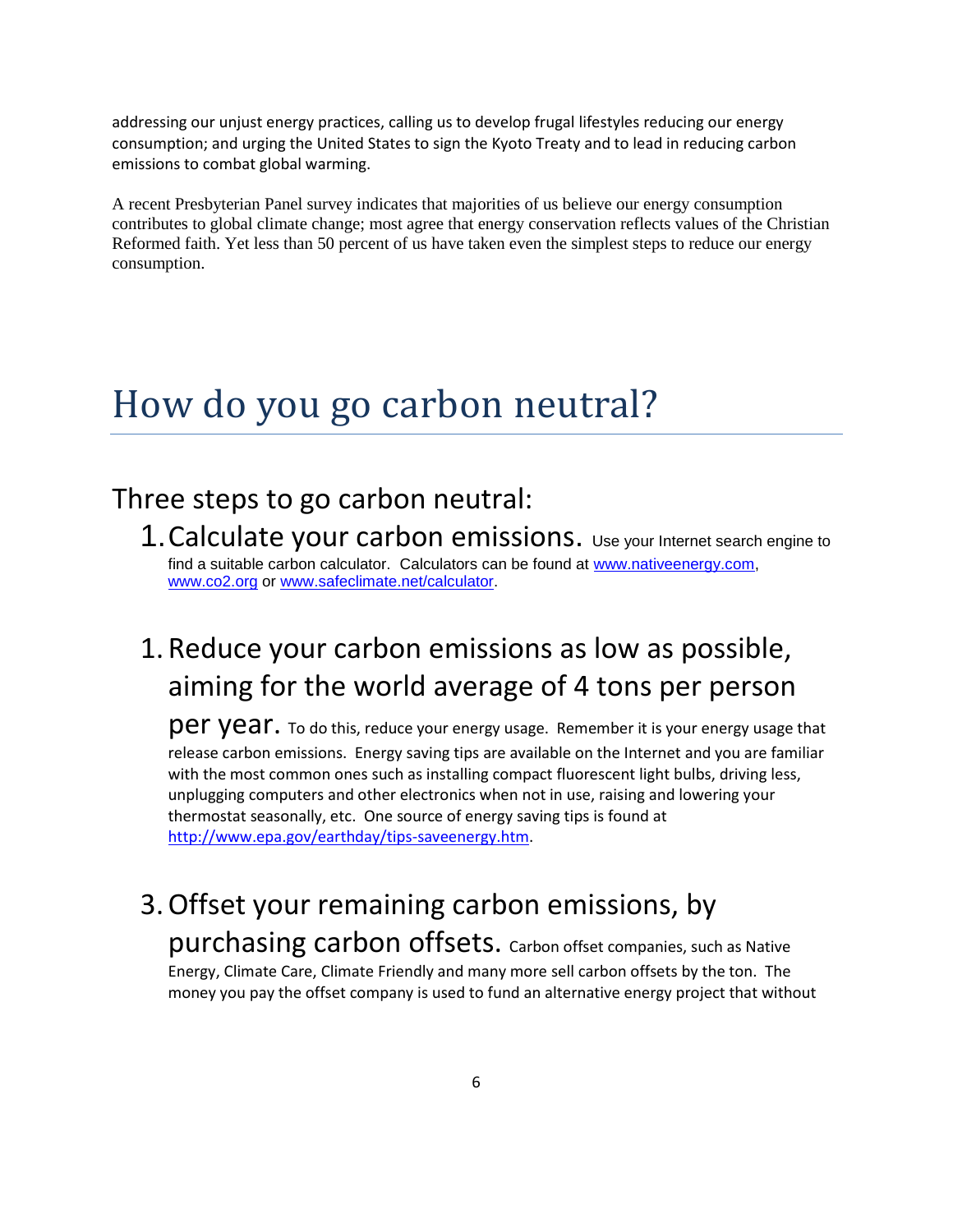addressing our unjust energy practices, calling us to develop frugal lifestyles reducing our energy consumption; and urging the United States to sign the Kyoto Treaty and to lead in reducing carbon emissions to combat global warming.

A recent Presbyterian Panel survey indicates that majorities of us believe our energy consumption contributes to global climate change; most agree that energy conservation reflects values of the Christian Reformed faith. Yet less than 50 percent of us have taken even the simplest steps to reduce our energy consumption.

#### How do you go carbon neutral?

#### Three steps to go carbon neutral:

1.Calculate your carbon emissions. Use your Internet search engine to find a suitable carbon calculator. Calculators can be found at [www.nativeenergy.com,](http://www.nativeenergy.com/) [www.co2.org](http://www.co2.org/) or [www.safeclimate.net/calculator.](http://www.safeclimate.net/calculator)

#### 1. Reduce your carbon emissions as low as possible, aiming for the world average of 4 tons per person

 $\overline{per}$   $\overline{ver}$   $\overline{ver}$  and  $\overline{der}$  and  $\overline{der}$  your energy usage. Remember it is your energy usage that release carbon emissions. Energy saving tips are available on the Internet and you are familiar with the most common ones such as installing compact fluorescent light bulbs, driving less, unplugging computers and other electronics when not in use, raising and lowering your thermostat seasonally, etc. One source of energy saving tips is found at [http://www.epa.gov/earthday/tips-saveenergy.htm.](http://www.epa.gov/earthday/tips-saveenergy.htm)

#### 3.Offset your remaining carbon emissions, by purchasing carbon offsets. Carbon offset companies, such as Native

Energy, Climate Care, Climate Friendly and many more sell carbon offsets by the ton. The money you pay the offset company is used to fund an alternative energy project that without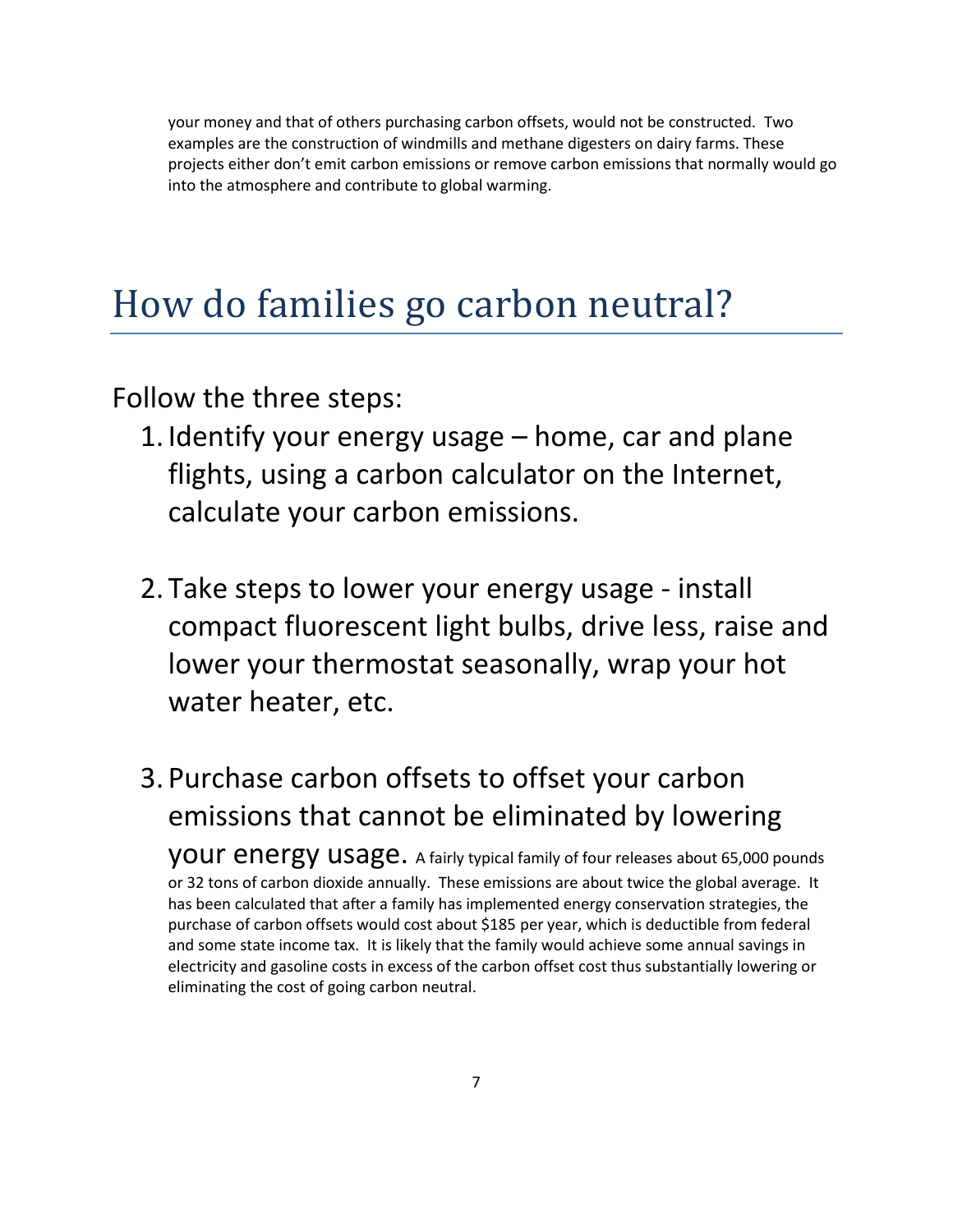your money and that of others purchasing carbon offsets, would not be constructed. Two examples are the construction of windmills and methane digesters on dairy farms. These projects either don't emit carbon emissions or remove carbon emissions that normally would go into the atmosphere and contribute to global warming.

### How do families go carbon neutral?

Follow the three steps:

- 1. Identify your energy usage home, car and plane flights, using a carbon calculator on the Internet, calculate your carbon emissions.
- 2. Take steps to lower your energy usage install compact fluorescent light bulbs, drive less, raise and lower your thermostat seasonally, wrap your hot water heater, etc.
- 3. Purchase carbon offsets to offset your carbon emissions that cannot be eliminated by lowering your energy usage. A fairly typical family of four releases about 65,000 pounds or 32 tons of carbon dioxide annually. These emissions are about twice the global average. It has been calculated that after a family has implemented energy conservation strategies, the purchase of carbon offsets would cost about \$185 per year, which is deductible from federal and some state income tax. It is likely that the family would achieve some annual savings in electricity and gasoline costs in excess of the carbon offset cost thus substantially lowering or eliminating the cost of going carbon neutral.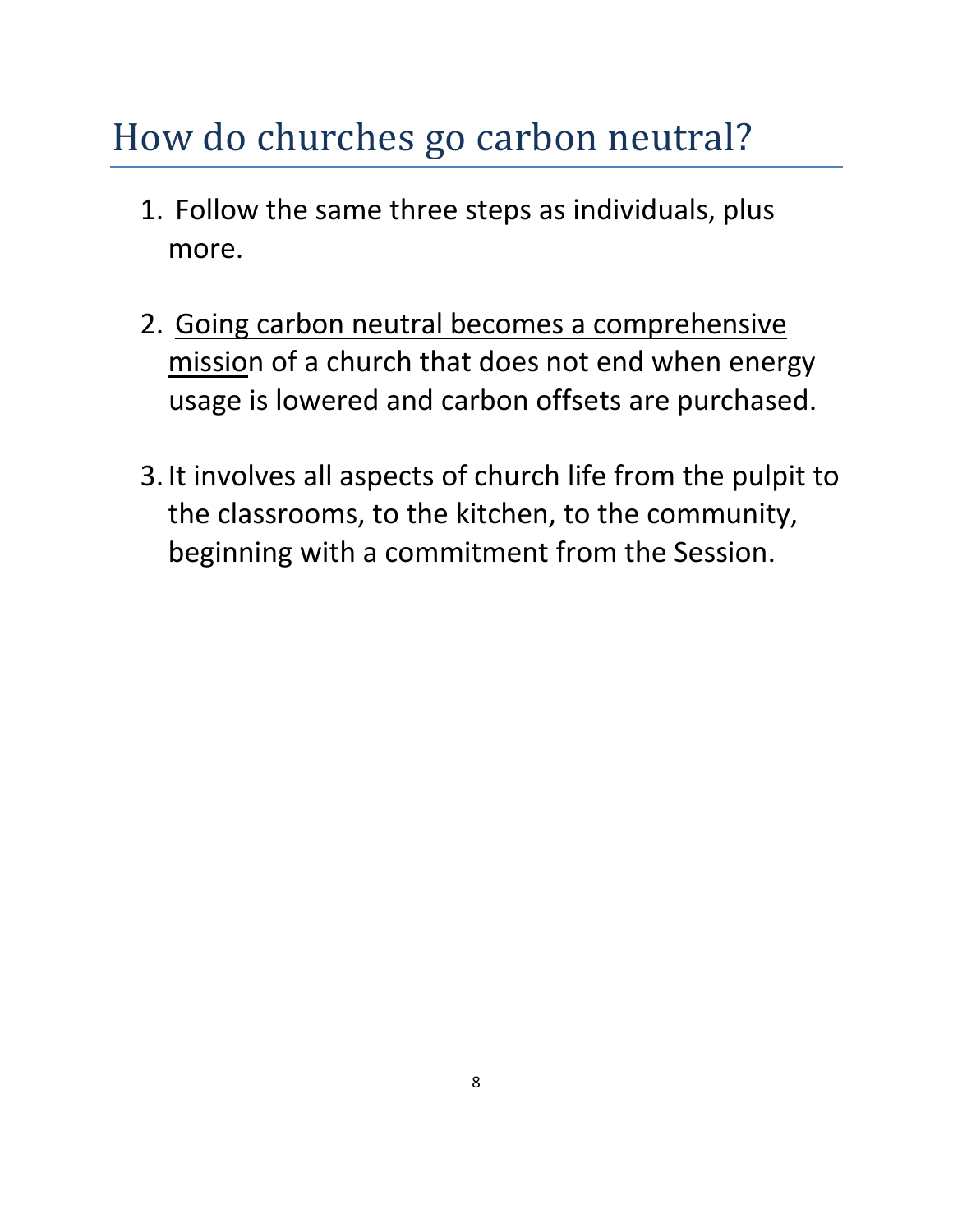# How do churches go carbon neutral?

- 1. Follow the same three steps as individuals, plus more.
- 2. Going carbon neutral becomes a comprehensive mission of a church that does not end when energy usage is lowered and carbon offsets are purchased.
- 3. It involves all aspects of church life from the pulpit to the classrooms, to the kitchen, to the community, beginning with a commitment from the Session.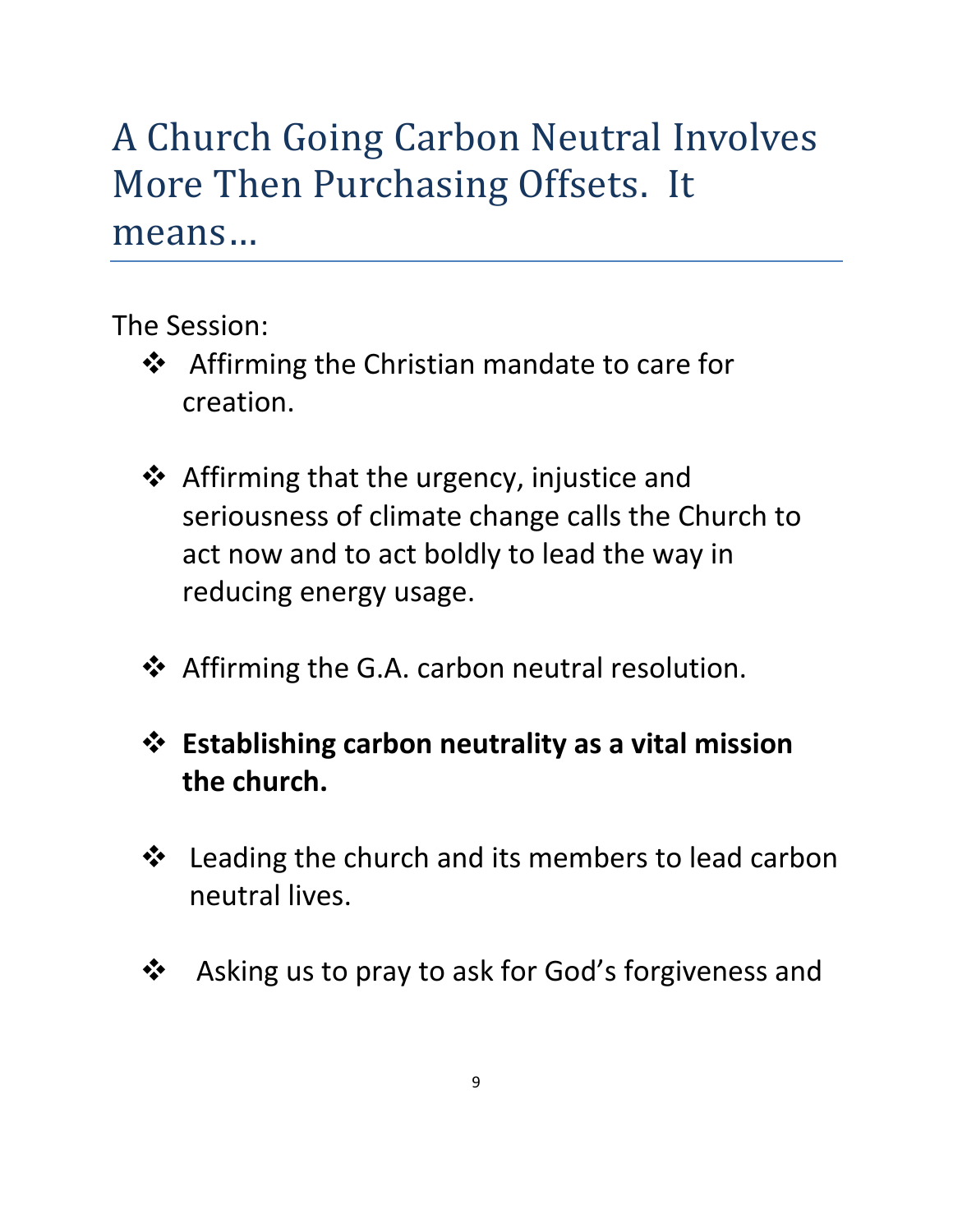## A Church Going Carbon Neutral Involves More Then Purchasing Offsets. It means…

The Session:

- ❖ Affirming the Christian mandate to care for creation.
- ❖ Affirming that the urgency, injustice and seriousness of climate change calls the Church to act now and to act boldly to lead the way in reducing energy usage.
- **❖** Affirming the G.A. carbon neutral resolution.
- **Establishing carbon neutrality as a vital mission the church.**
- **❖** Leading the church and its members to lead carbon neutral lives.
- Asking us to pray to ask for God's forgiveness and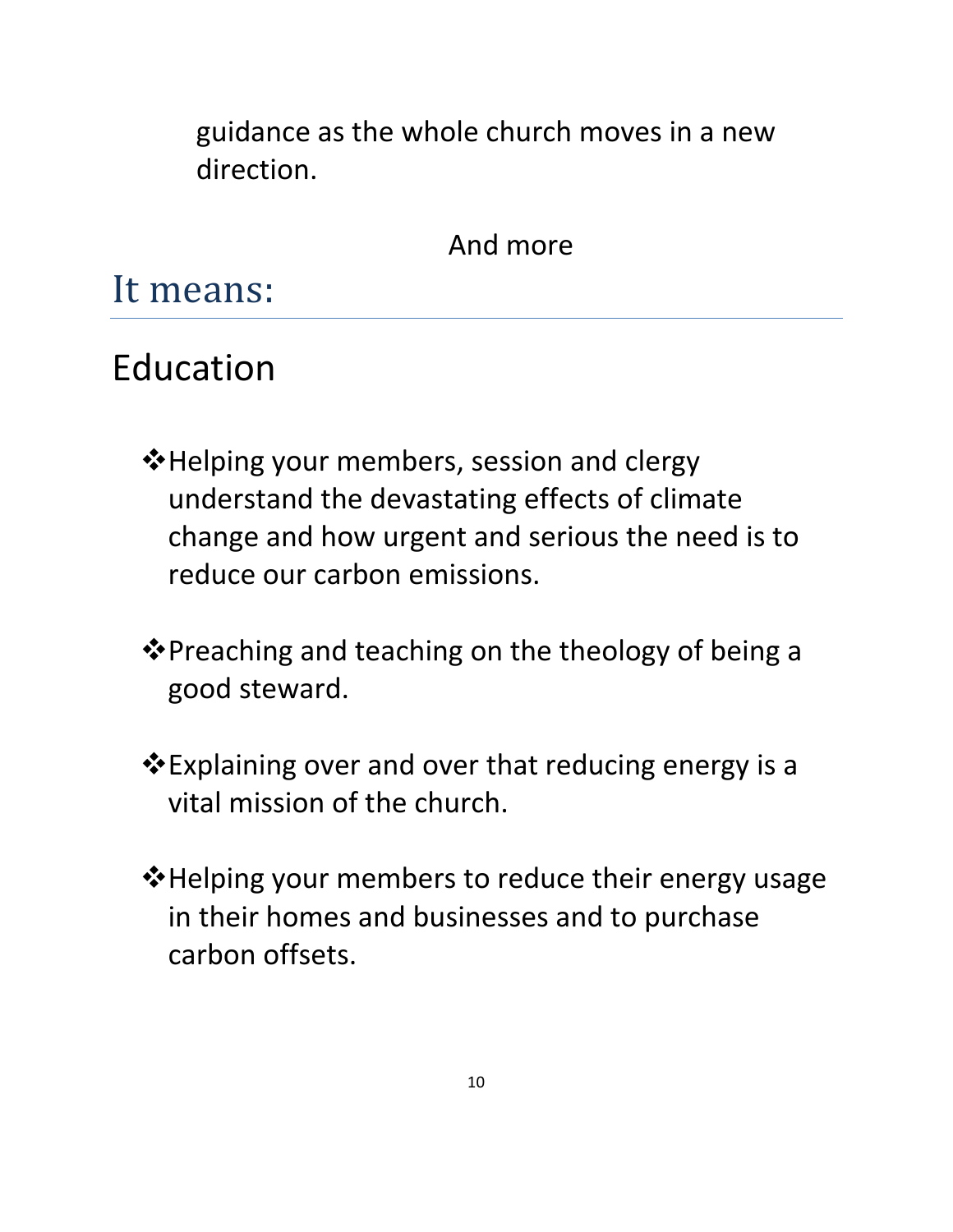guidance as the whole church moves in a new direction.

And more

It means:

### Education

- Helping your members, session and clergy understand the devastating effects of climate change and how urgent and serious the need is to reduce our carbon emissions.
- $\clubsuit$  Preaching and teaching on the theology of being a good steward.
- Explaining over and over that reducing energy is a vital mission of the church.
- Helping your members to reduce their energy usage in their homes and businesses and to purchase carbon offsets.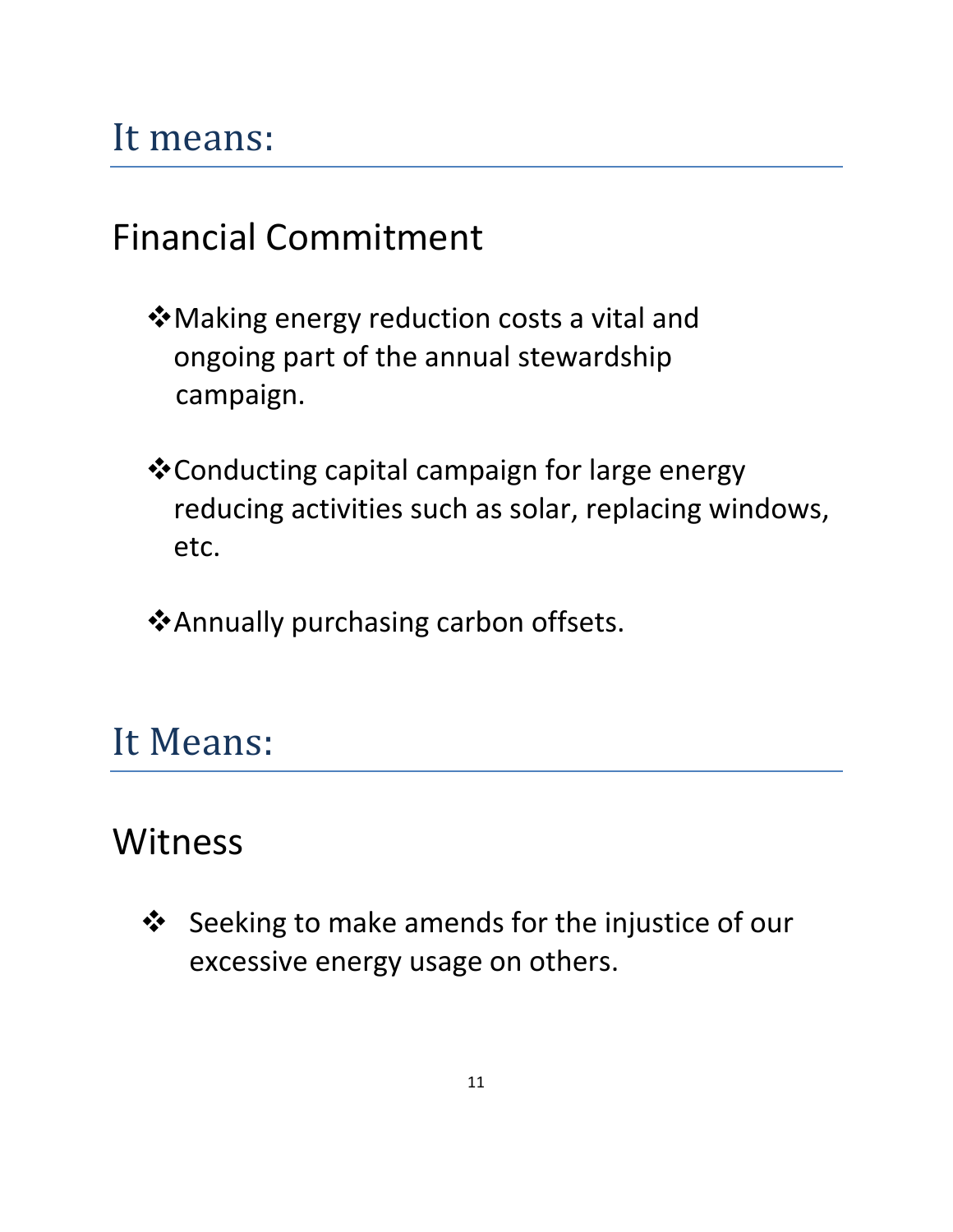## It means:

#### Financial Commitment

- Making energy reduction costs a vital and ongoing part of the annual stewardship campaign.
- Conducting capital campaign for large energy reducing activities such as solar, replacing windows, etc.
- Annually purchasing carbon offsets.

### It Means:

#### Witness

 Seeking to make amends for the injustice of our excessive energy usage on others.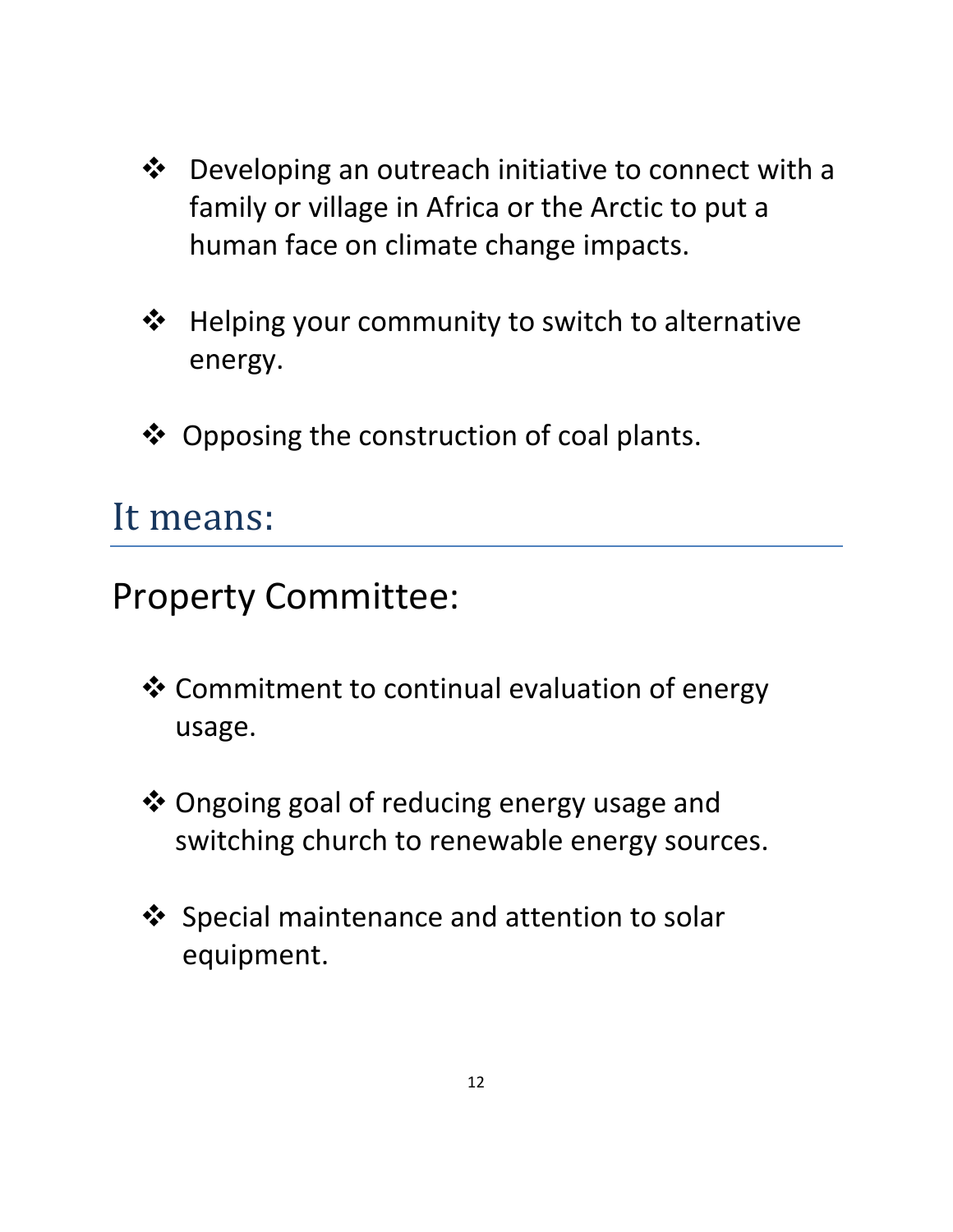- Developing an outreach initiative to connect with a family or village in Africa or the Arctic to put a human face on climate change impacts.
- **❖** Helping your community to switch to alternative energy.
- ❖ Opposing the construction of coal plants.

#### It means:

Property Committee:

- Commitment to continual evaluation of energy usage.
- Ongoing goal of reducing energy usage and switching church to renewable energy sources.
- $\dots$  Special maintenance and attention to solar equipment.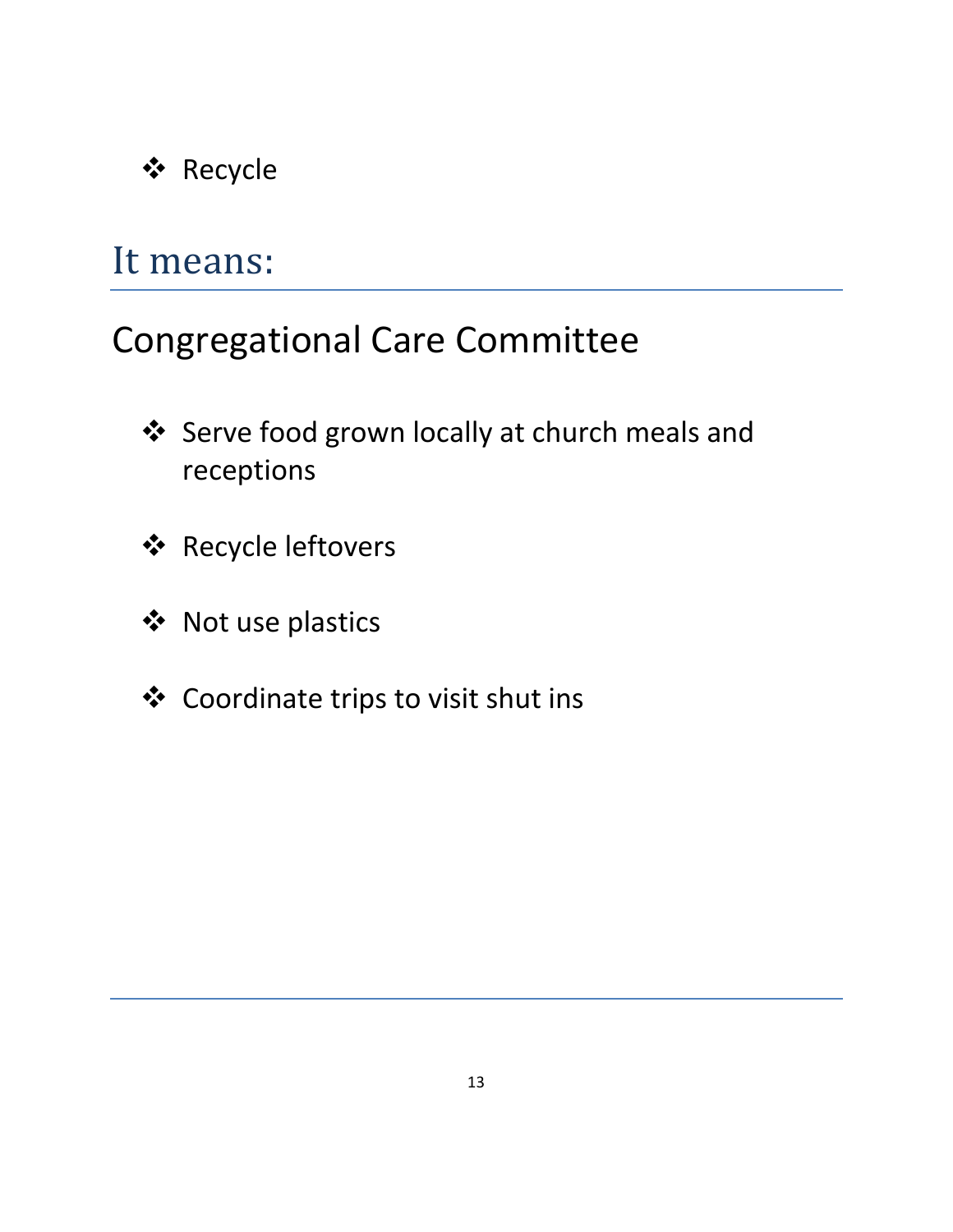#### Recycle

#### It means:

#### Congregational Care Committee

- Serve food grown locally at church meals and receptions
- Recycle leftovers
- ❖ Not use plastics
- Coordinate trips to visit shut ins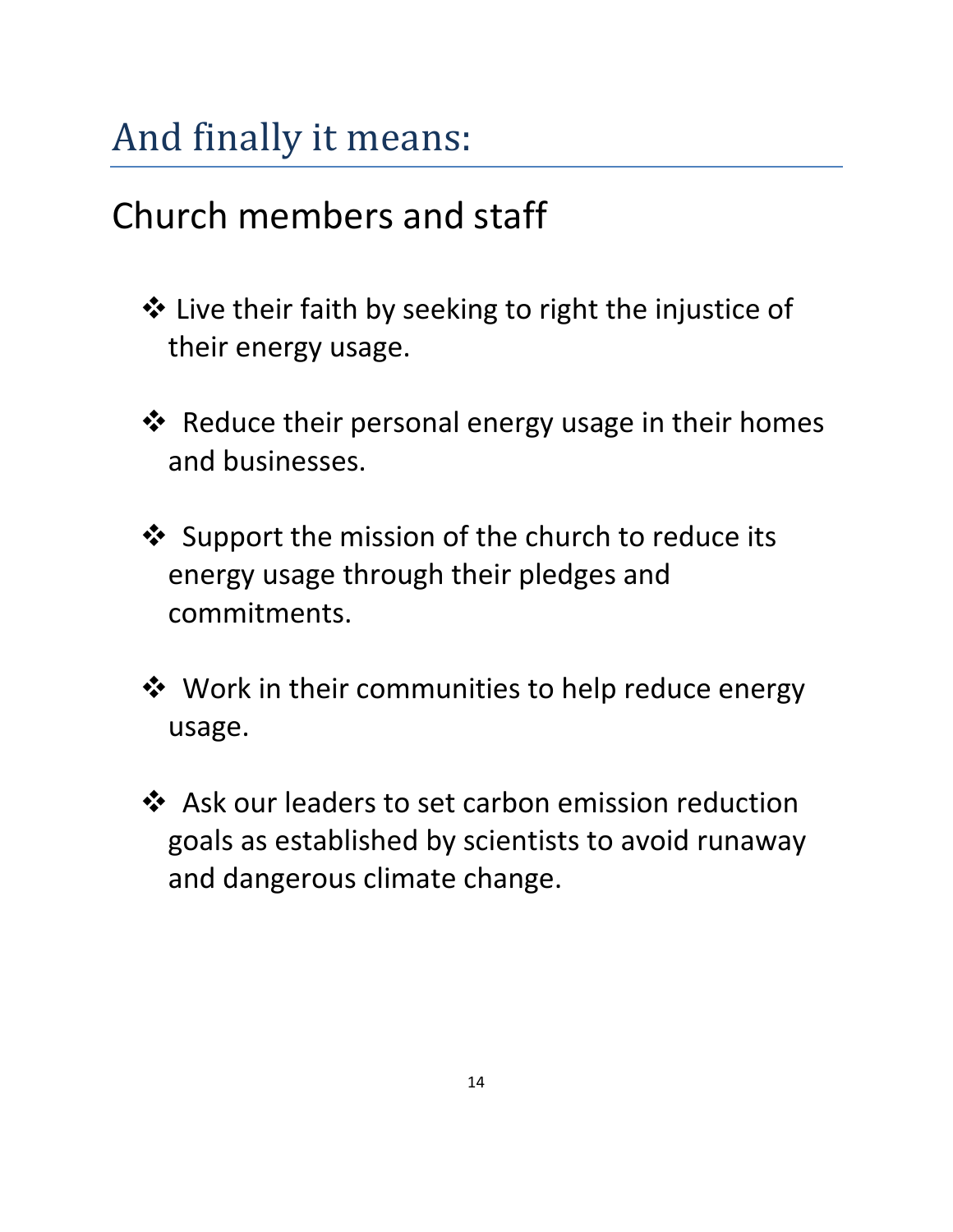# And finally it means:

## Church members and staff

- $\triangle$  Live their faith by seeking to right the injustice of their energy usage.
- $\triangle$  Reduce their personal energy usage in their homes and businesses.
- ❖ Support the mission of the church to reduce its energy usage through their pledges and commitments.
- $\dots$  **Work in their communities to help reduce energy** usage.
- Ask our leaders to set carbon emission reduction goals as established by scientists to avoid runaway and dangerous climate change.